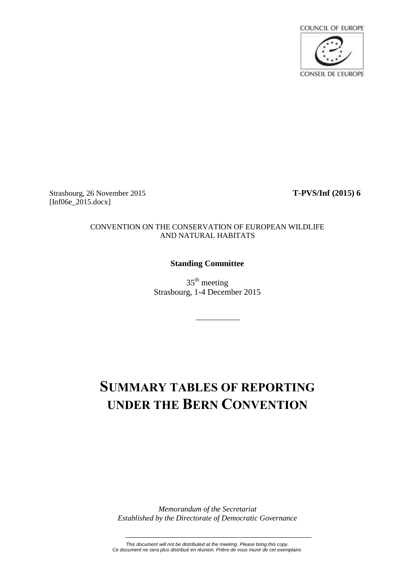

Strasbourg, 26 November 2015 **T-PVS/Inf (2015) 6** [Inf06e\_2015.docx]

#### CONVENTION ON THE CONSERVATION OF EUROPEAN WILDLIFE AND NATURAL HABITATS

#### **Standing Committee**

 $35<sup>th</sup>$  meeting Strasbourg, 1-4 December 2015

# **SUMMARY TABLES OF REPORTING UNDER THE BERN CONVENTION**

*Memorandum of the Secretariat Established by the Directorate of Democratic Governance*

*This document will not be distributed at the meeting. Please bring this copy. Ce document ne sera plus distribué en réunion. Prière de vous munir de cet exemplaire.*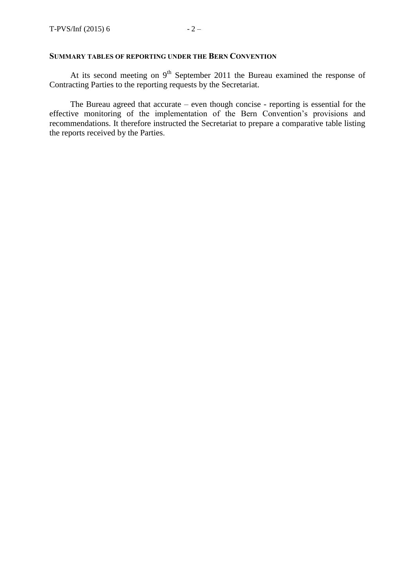#### **SUMMARY TABLES OF REPORTING UNDER THE BERN CONVENTION**

At its second meeting on  $9<sup>th</sup>$  September 2011 the Bureau examined the response of Contracting Parties to the reporting requests by the Secretariat.

The Bureau agreed that accurate – even though concise - reporting is essential for the effective monitoring of the implementation of the Bern Convention's provisions and recommendations. It therefore instructed the Secretariat to prepare a comparative table listing the reports received by the Parties.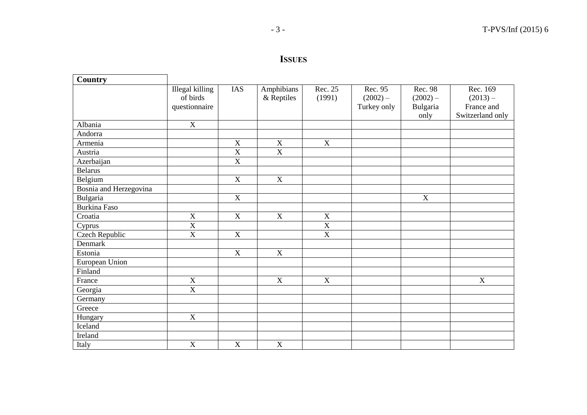## **ISSUES**

| Country                |                       |                       |                |                           |             |             |                  |
|------------------------|-----------------------|-----------------------|----------------|---------------------------|-------------|-------------|------------------|
|                        | Illegal killing       | <b>IAS</b>            | Amphibians     | Rec. 25                   | Rec. 95     | Rec. 98     | Rec. 169         |
|                        | of birds              |                       | & Reptiles     | (1991)                    | $(2002) -$  | $(2002) -$  | $(2013) -$       |
|                        | questionnaire         |                       |                |                           | Turkey only | Bulgaria    | France and       |
|                        |                       |                       |                |                           |             | only        | Switzerland only |
| Albania                | $\mathbf X$           |                       |                |                           |             |             |                  |
| Andorra                |                       |                       |                |                           |             |             |                  |
| Armenia                |                       | $\mathbf X$           | $\mathbf X$    | $\boldsymbol{\mathrm{X}}$ |             |             |                  |
| Austria                |                       | $\overline{\text{X}}$ | $\overline{X}$ |                           |             |             |                  |
| Azerbaijan             |                       | $\mathbf X$           |                |                           |             |             |                  |
| <b>Belarus</b>         |                       |                       |                |                           |             |             |                  |
| Belgium                |                       | X                     | $\mathbf X$    |                           |             |             |                  |
| Bosnia and Herzegovina |                       |                       |                |                           |             |             |                  |
| Bulgaria               |                       | $\mathbf X$           |                |                           |             | $\mathbf X$ |                  |
| <b>Burkina Faso</b>    |                       |                       |                |                           |             |             |                  |
| Croatia                | $\mathbf X$           | $\mathbf X$           | $\mathbf X$    | $\mathbf X$               |             |             |                  |
| Cyprus                 | $\overline{X}$        |                       |                | $\overline{X}$            |             |             |                  |
| <b>Czech Republic</b>  | $\overline{\text{X}}$ | $\mathbf X$           |                | $\overline{\mathbf{X}}$   |             |             |                  |
| Denmark                |                       |                       |                |                           |             |             |                  |
| Estonia                |                       | X                     | X              |                           |             |             |                  |
| European Union         |                       |                       |                |                           |             |             |                  |
| Finland                |                       |                       |                |                           |             |             |                  |
| France                 | $\mathbf X$           |                       | X              | X                         |             |             | $\mathbf X$      |
| Georgia                | $\mathbf X$           |                       |                |                           |             |             |                  |
| Germany                |                       |                       |                |                           |             |             |                  |
| Greece                 |                       |                       |                |                           |             |             |                  |
| Hungary                | $\mathbf X$           |                       |                |                           |             |             |                  |
| Iceland                |                       |                       |                |                           |             |             |                  |
| Ireland                |                       |                       |                |                           |             |             |                  |
| Italy                  | $\mathbf X$           | X                     | $\mathbf X$    |                           |             |             |                  |

 $\blacksquare$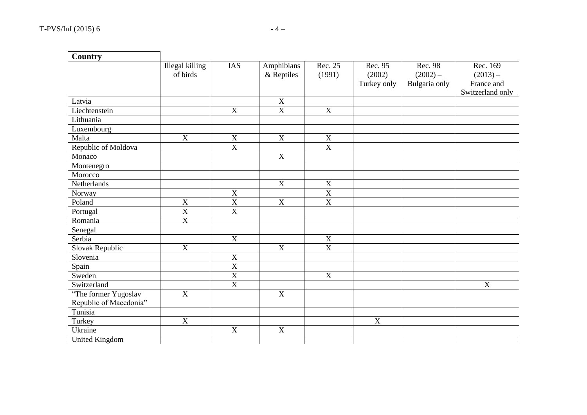| <b>Country</b>         |                             |                         |                          |                         |                                  |                                        |                                                          |
|------------------------|-----------------------------|-------------------------|--------------------------|-------------------------|----------------------------------|----------------------------------------|----------------------------------------------------------|
|                        | Illegal killing<br>of birds | <b>IAS</b>              | Amphibians<br>& Reptiles | Rec. 25<br>(1991)       | Rec. 95<br>(2002)<br>Turkey only | Rec. 98<br>$(2002) -$<br>Bulgaria only | Rec. 169<br>$(2013) -$<br>France and<br>Switzerland only |
| Latvia                 |                             |                         | $\mathbf X$              |                         |                                  |                                        |                                                          |
| Liechtenstein          |                             | $\overline{X}$          | $\overline{\text{X}}$    | $\overline{X}$          |                                  |                                        |                                                          |
| Lithuania              |                             |                         |                          |                         |                                  |                                        |                                                          |
| Luxembourg             |                             |                         |                          |                         |                                  |                                        |                                                          |
| Malta                  | $\mathbf X$                 | $\mathbf X$             | $\mathbf X$              | $\mathbf X$             |                                  |                                        |                                                          |
| Republic of Moldova    |                             | $\overline{X}$          |                          | $\overline{\mathbf{X}}$ |                                  |                                        |                                                          |
| Monaco                 |                             |                         | $\mathbf X$              |                         |                                  |                                        |                                                          |
| Montenegro             |                             |                         |                          |                         |                                  |                                        |                                                          |
| Morocco                |                             |                         |                          |                         |                                  |                                        |                                                          |
| Netherlands            |                             |                         | X                        | $\mathbf X$             |                                  |                                        |                                                          |
| Norway                 |                             | $\mathbf X$             |                          | $\overline{\text{X}}$   |                                  |                                        |                                                          |
| Poland                 | $\overline{X}$              | $\overline{\mathbf{X}}$ | $\overline{X}$           | $\overline{\text{X}}$   |                                  |                                        |                                                          |
| Portugal               | $\overline{X}$              | $\overline{\textbf{X}}$ |                          |                         |                                  |                                        |                                                          |
| Romania                | $\overline{X}$              |                         |                          |                         |                                  |                                        |                                                          |
| Senegal                |                             |                         |                          |                         |                                  |                                        |                                                          |
| Serbia                 |                             | $\mathbf X$             |                          | $\mathbf X$             |                                  |                                        |                                                          |
| Slovak Republic        | $\mathbf X$                 |                         | $\mathbf X$              | $\overline{\text{X}}$   |                                  |                                        |                                                          |
| Slovenia               |                             | $\mathbf X$             |                          |                         |                                  |                                        |                                                          |
| Spain                  |                             | $\overline{\textbf{X}}$ |                          |                         |                                  |                                        |                                                          |
| Sweden                 |                             | $\overline{\mathbf{X}}$ |                          | $\overline{X}$          |                                  |                                        |                                                          |
| Switzerland            |                             | $\overline{X}$          |                          |                         |                                  |                                        | $\mathbf X$                                              |
| "The former Yugoslav   | $\overline{X}$              |                         | $\overline{X}$           |                         |                                  |                                        |                                                          |
| Republic of Macedonia" |                             |                         |                          |                         |                                  |                                        |                                                          |
| Tunisia                |                             |                         |                          |                         |                                  |                                        |                                                          |
| Turkey                 | $\mathbf X$                 |                         |                          |                         | $\mathbf X$                      |                                        |                                                          |
| Ukraine                |                             | $\mathbf X$             | $\mathbf X$              |                         |                                  |                                        |                                                          |
| <b>United Kingdom</b>  |                             |                         |                          |                         |                                  |                                        |                                                          |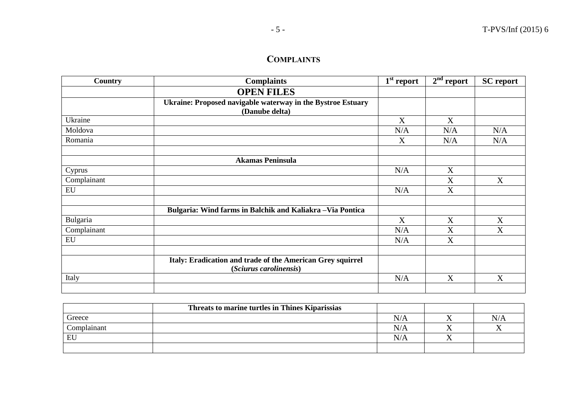### **COMPLAINTS**

| Country     | <b>Complaints</b>                                                                    | $\overline{1}^{\text{st}}$ report | $2nd$ report | <b>SC</b> report |
|-------------|--------------------------------------------------------------------------------------|-----------------------------------|--------------|------------------|
|             | <b>OPEN FILES</b>                                                                    |                                   |              |                  |
|             | Ukraine: Proposed navigable waterway in the Bystroe Estuary<br>(Danube delta)        |                                   |              |                  |
| Ukraine     |                                                                                      | X                                 | X            |                  |
| Moldova     |                                                                                      | N/A                               | N/A          | N/A              |
| Romania     |                                                                                      | X                                 | N/A          | N/A              |
|             | <b>Akamas Peninsula</b>                                                              |                                   |              |                  |
| Cyprus      |                                                                                      | N/A                               | X            |                  |
| Complainant |                                                                                      |                                   | X            | X                |
| EU          |                                                                                      | N/A                               | X            |                  |
|             | Bulgaria: Wind farms in Balchik and Kaliakra - Via Pontica                           |                                   |              |                  |
| Bulgaria    |                                                                                      | X                                 | X            | X                |
| Complainant |                                                                                      | N/A                               | X            | X                |
| EU          |                                                                                      | N/A                               | X            |                  |
|             | Italy: Eradication and trade of the American Grey squirrel<br>(Sciurus carolinensis) |                                   |              |                  |
| Italy       |                                                                                      | N/A                               | X            | X                |
|             |                                                                                      |                                   |              |                  |

|             | Threats to marine turtles in Thines Kiparissias |     |    |
|-------------|-------------------------------------------------|-----|----|
| Greece      |                                                 | N/A | N/ |
| Complainant |                                                 | N/A |    |
| EU          |                                                 | N/A |    |
|             |                                                 |     |    |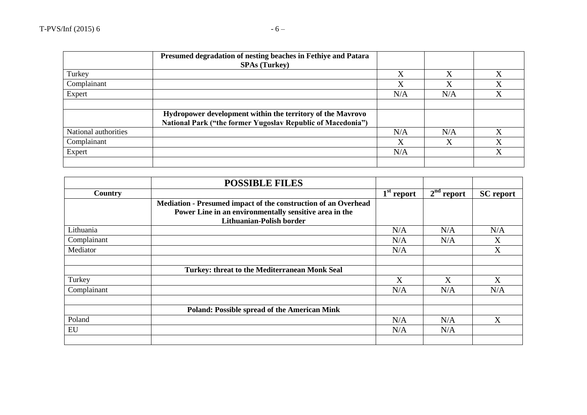|                      | Presumed degradation of nesting beaches in Fethiye and Patara<br><b>SPAs (Turkey)</b>                                            |     |     |         |
|----------------------|----------------------------------------------------------------------------------------------------------------------------------|-----|-----|---------|
| Turkey               |                                                                                                                                  | X   | X   | X       |
| Complainant          |                                                                                                                                  | X   | X   | $\rm X$ |
| Expert               |                                                                                                                                  | N/A | N/A |         |
|                      |                                                                                                                                  |     |     |         |
|                      | Hydropower development within the territory of the Mavrovo<br><b>National Park ("the former Yugoslav Republic of Macedonia")</b> |     |     |         |
| National authorities |                                                                                                                                  | N/A | N/A |         |
| Complainant          |                                                                                                                                  | X   | X   | X       |
| Expert               |                                                                                                                                  | N/A |     | X       |
|                      |                                                                                                                                  |     |     |         |

|             | <b>POSSIBLE FILES</b>                                          |              |              |                  |
|-------------|----------------------------------------------------------------|--------------|--------------|------------------|
| Country     |                                                                | $1st$ report | $2nd$ report | <b>SC</b> report |
|             | Mediation - Presumed impact of the construction of an Overhead |              |              |                  |
|             | Power Line in an environmentally sensitive area in the         |              |              |                  |
|             | Lithuanian-Polish border                                       |              |              |                  |
| Lithuania   |                                                                | N/A          | N/A          | N/A              |
| Complainant |                                                                | N/A          | N/A          | X                |
| Mediator    |                                                                | N/A          |              | X                |
|             |                                                                |              |              |                  |
|             | Turkey: threat to the Mediterranean Monk Seal                  |              |              |                  |
| Turkey      |                                                                | X            | X            | X                |
| Complainant |                                                                | N/A          | N/A          | N/A              |
|             | <b>Poland: Possible spread of the American Mink</b>            |              |              |                  |
| Poland      |                                                                | N/A          | N/A          | X                |
| EU          |                                                                | N/A          | N/A          |                  |
|             |                                                                |              |              |                  |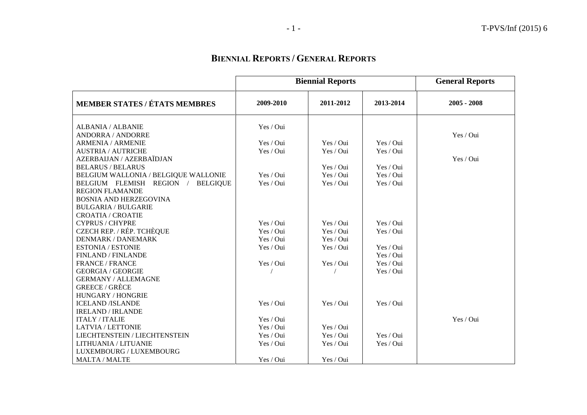## **BIENNIAL REPORTS / GENERAL REPORTS**

|                                                   | <b>Biennial Reports</b> |           |           | <b>General Reports</b> |
|---------------------------------------------------|-------------------------|-----------|-----------|------------------------|
| <b>MEMBER STATES / ÉTATS MEMBRES</b>              | 2009-2010               | 2011-2012 | 2013-2014 | $2005 - 2008$          |
| ALBANIA / ALBANIE                                 | Yes / Oui               |           |           |                        |
| <b>ANDORRA / ANDORRE</b>                          |                         |           |           | Yes / Oui              |
| <b>ARMENIA / ARMENIE</b>                          | Yes / Oui               | Yes / Oui | Yes / Oui |                        |
| <b>AUSTRIA / AUTRICHE</b>                         | Yes / Oui               | Yes / Oui | Yes / Oui |                        |
| AZERBAIJAN / AZERBAÏDJAN                          |                         |           |           | Yes / Oui              |
| <b>BELARUS / BELARUS</b>                          |                         | Yes / Oui | Yes / Oui |                        |
| BELGIUM WALLONIA / BELGIQUE WALLONIE              | Yes / Oui               | Yes / Oui | Yes / Oui |                        |
| BELGIUM FLEMISH REGION /<br><b>BELGIQUE</b>       | Yes / Oui               | Yes / Oui | Yes / Oui |                        |
| <b>REGION FLAMANDE</b>                            |                         |           |           |                        |
| <b>BOSNIA AND HERZEGOVINA</b>                     |                         |           |           |                        |
| <b>BULGARIA / BULGARIE</b>                        |                         |           |           |                        |
| <b>CROATIA / CROATIE</b>                          |                         |           |           |                        |
| <b>CYPRUS / CHYPRE</b>                            | Yes / Oui               | Yes / Oui | Yes / Oui |                        |
| <b>CZECH REP. / RÉP. TCHÈQUE</b>                  | Yes / Oui               | Yes / Oui | Yes / Oui |                        |
| <b>DENMARK / DANEMARK</b>                         | Yes / Oui               | Yes / Oui |           |                        |
| <b>ESTONIA / ESTONIE</b>                          | Yes / Oui               | Yes / Oui | Yes / Oui |                        |
| FINLAND / FINLANDE                                |                         |           | Yes / Oui |                        |
| <b>FRANCE / FRANCE</b>                            | Yes / Oui               | Yes / Oui | Yes / Oui |                        |
| <b>GEORGIA / GEORGIE</b>                          |                         |           | Yes / Oui |                        |
| <b>GERMANY / ALLEMAGNE</b>                        |                         |           |           |                        |
| <b>GREECE / GRÈCE</b>                             |                         |           |           |                        |
| <b>HUNGARY / HONGRIE</b>                          |                         | Yes / Oui | Yes / Oui |                        |
| <b>ICELAND /ISLANDE</b>                           | Yes / Oui               |           |           |                        |
| <b>IRELAND / IRLANDE</b><br><b>ITALY / ITALIE</b> | Yes / Oui               |           |           | Yes / Oui              |
| <b>LATVIA / LETTONIE</b>                          | Yes / Oui               | Yes / Oui |           |                        |
| <b>LIECHTENSTEIN / LIECHTENSTEIN</b>              | Yes / Oui               | Yes / Oui | Yes / Oui |                        |
| LITHUANIA / LITUANIE                              | Yes / Oui               | Yes / Oui | Yes / Oui |                        |
| LUXEMBOURG / LUXEMBOURG                           |                         |           |           |                        |
| <b>MALTA / MALTE</b>                              | Yes / Oui               | Yes / Oui |           |                        |